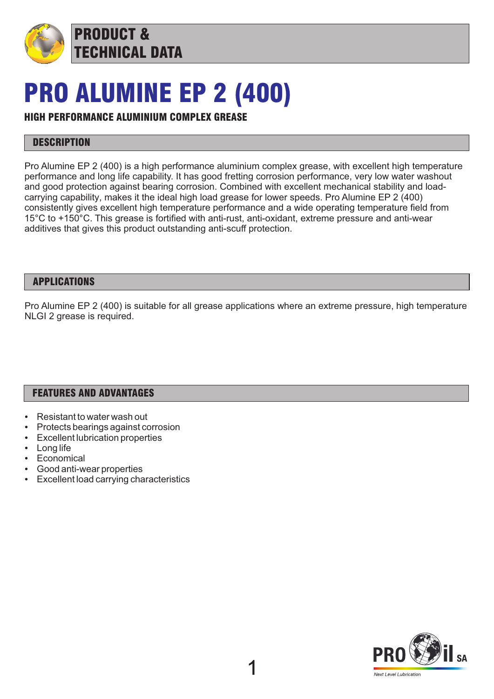

# PRO ALUMINE EP 2 (400)

## HIGH PERFORMANCE ALUMINIUM COMPLEX GREASE

PRODUCT &

TECHNICAL DATA

### **DESCRIPTION**

Pro Alumine EP 2 (400) is a high performance aluminium complex grease, with excellent high temperature performance and long life capability. It has good fretting corrosion performance, very low water washout and good protection against bearing corrosion. Combined with excellent mechanical stability and loadcarrying capability, makes it the ideal high load grease for lower speeds. Pro Alumine EP 2 (400) consistently gives excellent high temperature performance and a wide operating temperature field from 15°C to +150°C. This grease is fortified with anti-rust, anti-oxidant, extreme pressure and anti-wear additives that gives this product outstanding anti-scuff protection.

#### APPLICATIONS

Pro Alumine EP 2 (400) is suitable for all grease applications where an extreme pressure, high temperature NLGI 2 grease is required.

#### FEATURES AND ADVANTAGES

- Resistant to water wash out
- Protects bearings against corrosion
- **Excellent lubrication properties**
- Long life
- **Economical**
- Good anti-wear properties
- Excellent load carrying characteristics